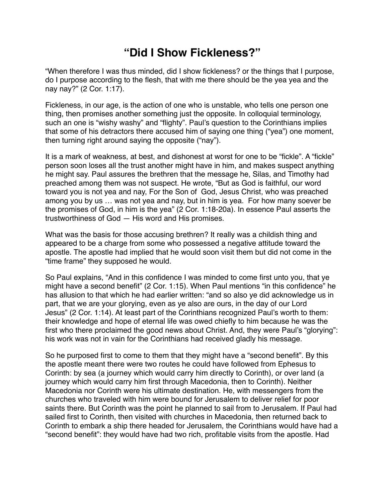## **"Did I Show Fickleness?"**

"When therefore I was thus minded, did I show fickleness? or the things that I purpose, do I purpose according to the flesh, that with me there should be the yea yea and the nay nay?" (2 Cor. 1:17).

Fickleness, in our age, is the action of one who is unstable, who tells one person one thing, then promises another something just the opposite. In colloquial terminology, such an one is "wishy washy" and "flighty". Paul's question to the Corinthians implies that some of his detractors there accused him of saying one thing ("yea") one moment, then turning right around saying the opposite ("nay").

It is a mark of weakness, at best, and dishonest at worst for one to be "fickle". A "fickle" person soon loses all the trust another might have in him, and makes suspect anything he might say. Paul assures the brethren that the message he, Silas, and Timothy had preached among them was not suspect. He wrote, "But as God is faithful, our word toward you is not yea and nay, For the Son of God, Jesus Christ, who was preached among you by us … was not yea and nay, but in him is yea. For how many soever be the promises of God, in him is the yea" (2 Cor. 1:18-20a). In essence Paul asserts the trustworthiness of God — His word and His promises.

What was the basis for those accusing brethren? It really was a childish thing and appeared to be a charge from some who possessed a negative attitude toward the apostle. The apostle had implied that he would soon visit them but did not come in the "time frame" they supposed he would.

So Paul explains, "And in this confidence I was minded to come first unto you, that ye might have a second benefit" (2 Cor. 1:15). When Paul mentions "in this confidence" he has allusion to that which he had earlier written: "and so also ye did acknowledge us in part, that we are your glorying, even as ye also are ours, in the day of our Lord Jesus" (2 Cor. 1:14). At least part of the Corinthians recognized Paul's worth to them: their knowledge and hope of eternal life was owed chiefly to him because he was the first who there proclaimed the good news about Christ. And, they were Paul's "glorying": his work was not in vain for the Corinthians had received gladly his message.

So he purposed first to come to them that they might have a "second benefit". By this the apostle meant there were two routes he could have followed from Ephesus to Corinth: by sea (a journey which would carry him directly to Corinth), or over land (a journey which would carry him first through Macedonia, then to Corinth). Neither Macedonia nor Corinth were his ultimate destination. He, with messengers from the churches who traveled with him were bound for Jerusalem to deliver relief for poor saints there. But Corinth was the point he planned to sail from to Jerusalem. If Paul had sailed first to Corinth, then visited with churches in Macedonia, then returned back to Corinth to embark a ship there headed for Jerusalem, the Corinthians would have had a "second benefit": they would have had two rich, profitable visits from the apostle. Had